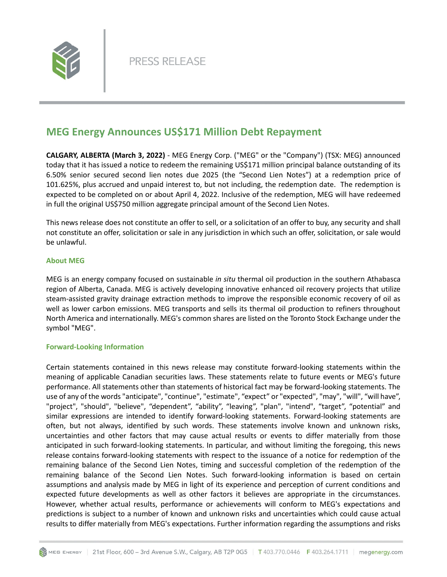

## **MEG Energy Announces US\$171 Million Debt Repayment**

**CALGARY, ALBERTA (March 3, 2022)** - MEG Energy Corp. ("MEG" or the "Company") (TSX: MEG) announced today that it has issued a notice to redeem the remaining US\$171 million principal balance outstanding of its 6.50% senior secured second lien notes due 2025 (the "Second Lien Notes") at a redemption price of 101.625%, plus accrued and unpaid interest to, but not including, the redemption date. The redemption is expected to be completed on or about April 4, 2022. Inclusive of the redemption, MEG will have redeemed in full the original US\$750 million aggregate principal amount of the Second Lien Notes.

This news release does not constitute an offer to sell, or a solicitation of an offer to buy, any security and shall not constitute an offer, solicitation or sale in any jurisdiction in which such an offer, solicitation, or sale would be unlawful.

## **About MEG**

MEG is an energy company focused on sustainable *in situ* thermal oil production in the southern Athabasca region of Alberta, Canada. MEG is actively developing innovative enhanced oil recovery projects that utilize steam-assisted gravity drainage extraction methods to improve the responsible economic recovery of oil as well as lower carbon emissions. MEG transports and sells its thermal oil production to refiners throughout North America and internationally. MEG's common shares are listed on the Toronto Stock Exchange under the symbol "MEG".

## **Forward-Looking Information**

Certain statements contained in this news release may constitute forward-looking statements within the meaning of applicable Canadian securities laws. These statements relate to future events or MEG's future performance. All statements other than statements of historical fact may be forward-looking statements. The use of any of the words "anticipate", "continue", "estimate", "expect" or "expected", "may", "will", "will have", "project", "should", "believe", "dependent", "ability", "leaving", "plan", "intend", "target", "potential" and similar expressions are intended to identify forward-looking statements. Forward-looking statements are often, but not always, identified by such words. These statements involve known and unknown risks, uncertainties and other factors that may cause actual results or events to differ materially from those anticipated in such forward-looking statements. In particular, and without limiting the foregoing, this news release contains forward-looking statements with respect to the issuance of a notice for redemption of the remaining balance of the Second Lien Notes, timing and successful completion of the redemption of the remaining balance of the Second Lien Notes. Such forward-looking information is based on certain assumptions and analysis made by MEG in light of its experience and perception of current conditions and expected future developments as well as other factors it believes are appropriate in the circumstances. However, whether actual results, performance or achievements will conform to MEG's expectations and predictions is subject to a number of known and unknown risks and uncertainties which could cause actual results to differ materially from MEG's expectations. Further information regarding the assumptions and risks